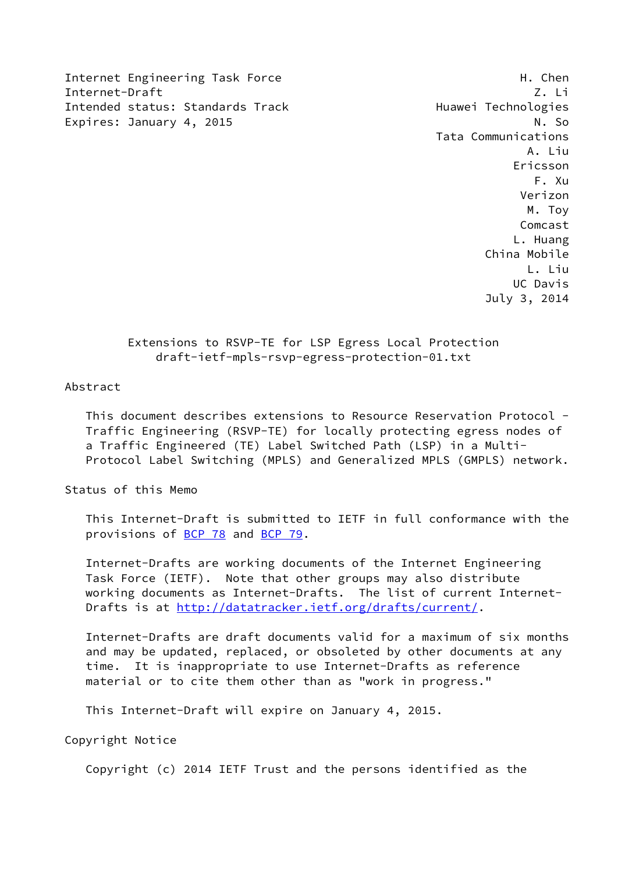Internet Engineering Task Force H. Chen Internet-Draft Z. Li Intended status: Standards Track Track Huawei Technologies Expires: January 4, 2015 N. So

 Tata Communications A. Liu Ericsson F. Xu Verizon M. Toy Comcast L. Huang China Mobile L. Liu UC Davis July 3, 2014

# Extensions to RSVP-TE for LSP Egress Local Protection draft-ietf-mpls-rsvp-egress-protection-01.txt

### Abstract

 This document describes extensions to Resource Reservation Protocol - Traffic Engineering (RSVP-TE) for locally protecting egress nodes of a Traffic Engineered (TE) Label Switched Path (LSP) in a Multi- Protocol Label Switching (MPLS) and Generalized MPLS (GMPLS) network.

Status of this Memo

 This Internet-Draft is submitted to IETF in full conformance with the provisions of [BCP 78](https://datatracker.ietf.org/doc/pdf/bcp78) and [BCP 79](https://datatracker.ietf.org/doc/pdf/bcp79).

 Internet-Drafts are working documents of the Internet Engineering Task Force (IETF). Note that other groups may also distribute working documents as Internet-Drafts. The list of current Internet Drafts is at<http://datatracker.ietf.org/drafts/current/>.

 Internet-Drafts are draft documents valid for a maximum of six months and may be updated, replaced, or obsoleted by other documents at any time. It is inappropriate to use Internet-Drafts as reference material or to cite them other than as "work in progress."

This Internet-Draft will expire on January 4, 2015.

Copyright Notice

Copyright (c) 2014 IETF Trust and the persons identified as the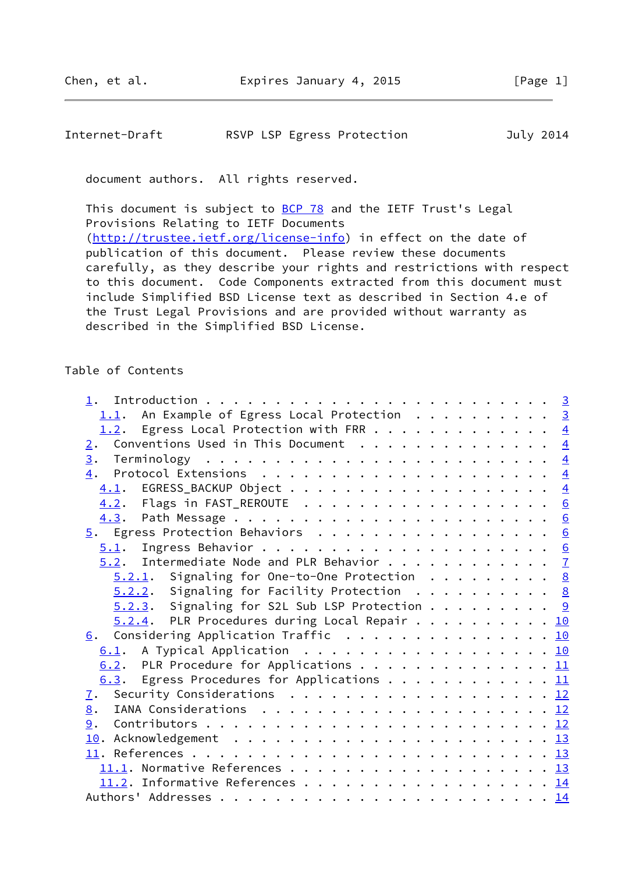## Internet-Draft RSVP LSP Egress Protection July 2014

document authors. All rights reserved.

This document is subject to **[BCP 78](https://datatracker.ietf.org/doc/pdf/bcp78)** and the IETF Trust's Legal Provisions Relating to IETF Documents [\(http://trustee.ietf.org/license-info](http://trustee.ietf.org/license-info)) in effect on the date of publication of this document. Please review these documents carefully, as they describe your rights and restrictions with respect to this document. Code Components extracted from this document must include Simplified BSD License text as described in Section 4.e of the Trust Legal Provisions and are provided without warranty as described in the Simplified BSD License.

#### Table of Contents

| 1.1. An Example of Egress Local Protection 3             |  |
|----------------------------------------------------------|--|
| 1.2. Egress Local Protection with FRR 4                  |  |
| Conventions Used in This Document $\frac{4}{5}$<br>2.    |  |
|                                                          |  |
|                                                          |  |
|                                                          |  |
| 4.2. Flags in FAST_REROUTE 6                             |  |
|                                                          |  |
| 5. Egress Protection Behaviors 6                         |  |
|                                                          |  |
| $5.2$ . Intermediate Node and PLR Behavior $\frac{7}{2}$ |  |
| $5.2.1$ . Signaling for One-to-One Protection 8          |  |
| $5.2.2.$ Signaling for Facility Protection 8             |  |
| $5.2.3$ . Signaling for S2L Sub LSP Protection 9         |  |
| $5.2.4$ . PLR Procedures during Local Repair 10          |  |
| 6. Considering Application Traffic 10                    |  |
| 6.1. A Typical Application 10                            |  |
| 6.2. PLR Procedure for Applications 11                   |  |
| 6.3. Egress Procedures for Applications 11               |  |
| 7. Security Considerations 12                            |  |
|                                                          |  |
|                                                          |  |
|                                                          |  |
|                                                          |  |
|                                                          |  |
| 11.2. Informative References 14                          |  |
|                                                          |  |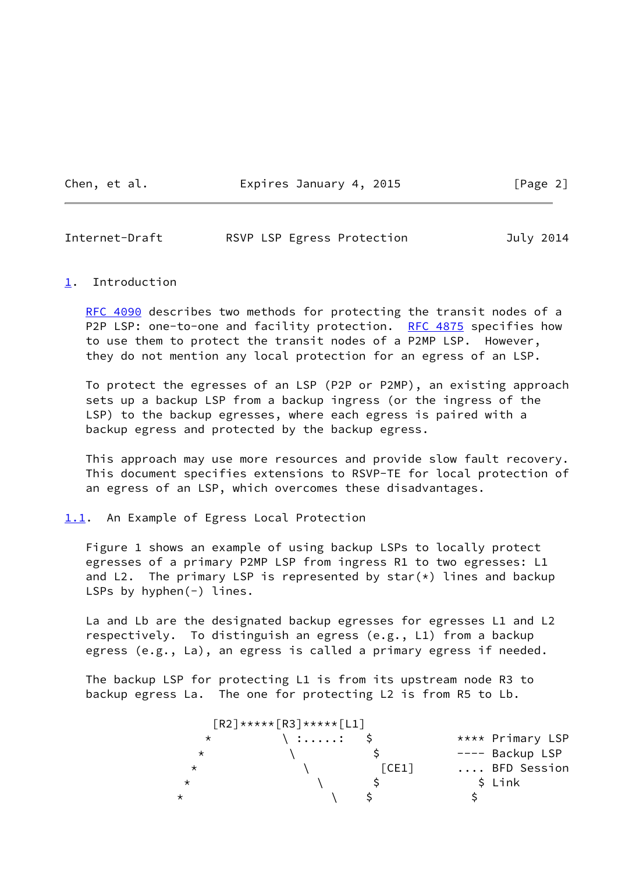Chen, et al. **Expires January 4, 2015** [Page 2]

<span id="page-2-1"></span>Internet-Draft RSVP LSP Egress Protection July 2014

#### <span id="page-2-0"></span>[1](#page-2-0). Introduction

[RFC 4090](https://datatracker.ietf.org/doc/pdf/rfc4090) describes two methods for protecting the transit nodes of a P2P LSP: one-to-one and facility protection. [RFC 4875](https://datatracker.ietf.org/doc/pdf/rfc4875) specifies how to use them to protect the transit nodes of a P2MP LSP. However, they do not mention any local protection for an egress of an LSP.

 To protect the egresses of an LSP (P2P or P2MP), an existing approach sets up a backup LSP from a backup ingress (or the ingress of the LSP) to the backup egresses, where each egress is paired with a backup egress and protected by the backup egress.

 This approach may use more resources and provide slow fault recovery. This document specifies extensions to RSVP-TE for local protection of an egress of an LSP, which overcomes these disadvantages.

<span id="page-2-2"></span>[1.1](#page-2-2). An Example of Egress Local Protection

 Figure 1 shows an example of using backup LSPs to locally protect egresses of a primary P2MP LSP from ingress R1 to two egresses: L1 and L2. The primary LSP is represented by star $(*)$  lines and backup LSPs by hyphen(-) lines.

 La and Lb are the designated backup egresses for egresses L1 and L2 respectively. To distinguish an egress (e.g., L1) from a backup egress (e.g., La), an egress is called a primary egress if needed.

 The backup LSP for protecting L1 is from its upstream node R3 to backup egress La. The one for protecting L2 is from R5 to Lb.

| $\lceil R2 \rceil$ ***** $\lceil R3 \rceil$ ***** $\lceil L1 \rceil$ |                 |                              |                  |
|----------------------------------------------------------------------|-----------------|------------------------------|------------------|
| $\star$                                                              | $\langle$ :: \$ |                              | **** Primary LSP |
| *                                                                    |                 |                              | ---- Backup LSP  |
| $\star$                                                              |                 | $\lceil \textsf{CE1} \rceil$ | BFD Session      |
| $^\star$                                                             |                 |                              | \$ Link          |
| $^\star$                                                             |                 |                              |                  |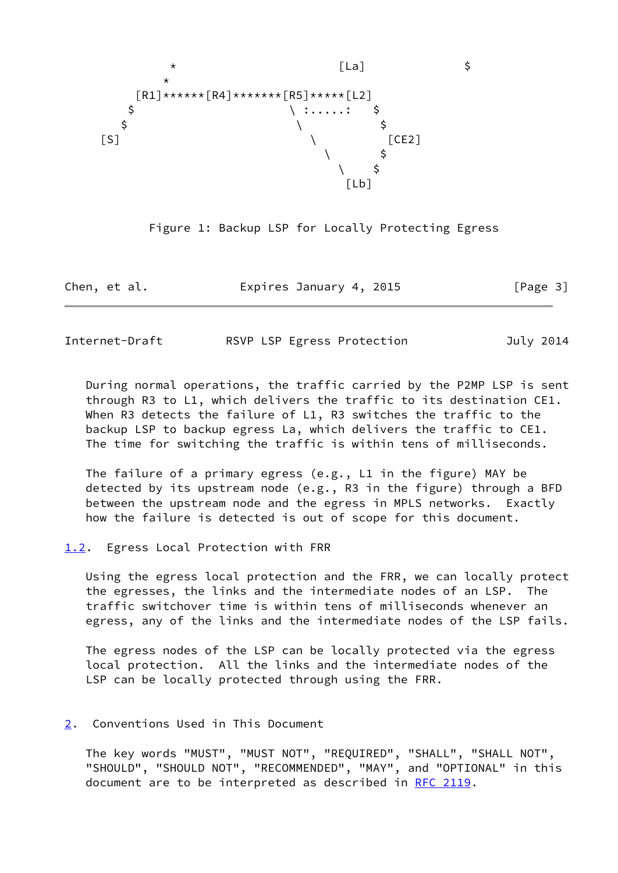



| Chen, et al. | Expires January 4, 2015 | [Page 3] |
|--------------|-------------------------|----------|
|--------------|-------------------------|----------|

<span id="page-3-1"></span>Internet-Draft RSVP LSP Egress Protection July 2014

 During normal operations, the traffic carried by the P2MP LSP is sent through R3 to L1, which delivers the traffic to its destination CE1. When R3 detects the failure of L1, R3 switches the traffic to the backup LSP to backup egress La, which delivers the traffic to CE1. The time for switching the traffic is within tens of milliseconds.

 The failure of a primary egress (e.g., L1 in the figure) MAY be detected by its upstream node (e.g., R3 in the figure) through a BFD between the upstream node and the egress in MPLS networks. Exactly how the failure is detected is out of scope for this document.

<span id="page-3-0"></span>[1.2](#page-3-0). Egress Local Protection with FRR

 Using the egress local protection and the FRR, we can locally protect the egresses, the links and the intermediate nodes of an LSP. The traffic switchover time is within tens of milliseconds whenever an egress, any of the links and the intermediate nodes of the LSP fails.

 The egress nodes of the LSP can be locally protected via the egress local protection. All the links and the intermediate nodes of the LSP can be locally protected through using the FRR.

## <span id="page-3-2"></span>[2](#page-3-2). Conventions Used in This Document

 The key words "MUST", "MUST NOT", "REQUIRED", "SHALL", "SHALL NOT", "SHOULD", "SHOULD NOT", "RECOMMENDED", "MAY", and "OPTIONAL" in this document are to be interpreted as described in [RFC 2119.](https://datatracker.ietf.org/doc/pdf/rfc2119)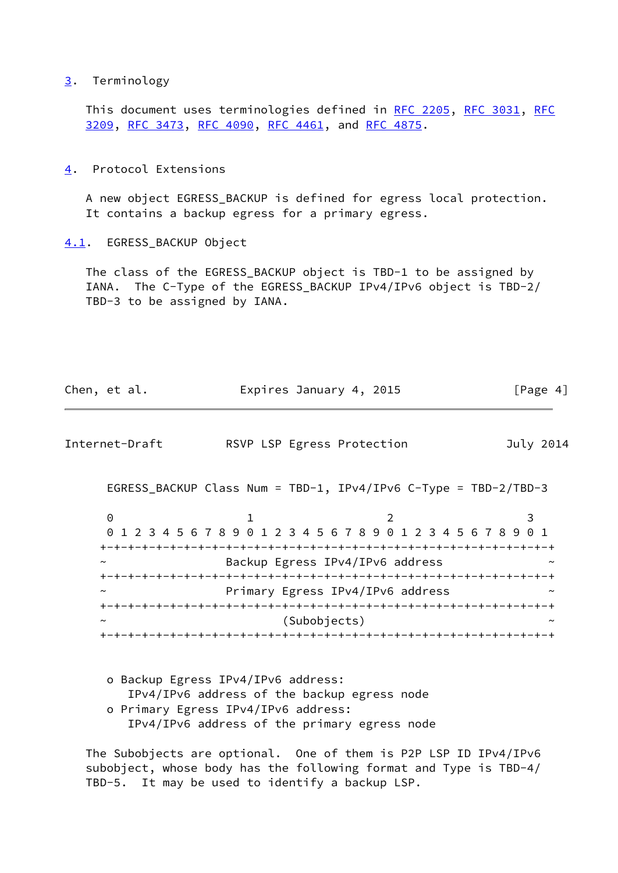#### <span id="page-4-0"></span>[3](#page-4-0). Terminology

This document uses terminologies defined in [RFC 2205,](https://datatracker.ietf.org/doc/pdf/rfc2205) [RFC 3031](https://datatracker.ietf.org/doc/pdf/rfc3031), [RFC](https://datatracker.ietf.org/doc/pdf/rfc3209) [3209](https://datatracker.ietf.org/doc/pdf/rfc3209), [RFC 3473](https://datatracker.ietf.org/doc/pdf/rfc3473), [RFC 4090](https://datatracker.ietf.org/doc/pdf/rfc4090), [RFC 4461](https://datatracker.ietf.org/doc/pdf/rfc4461), and [RFC 4875](https://datatracker.ietf.org/doc/pdf/rfc4875).

<span id="page-4-1"></span>[4](#page-4-1). Protocol Extensions

 A new object EGRESS\_BACKUP is defined for egress local protection. It contains a backup egress for a primary egress.

<span id="page-4-2"></span>[4.1](#page-4-2). EGRESS\_BACKUP Object

 The class of the EGRESS\_BACKUP object is TBD-1 to be assigned by IANA. The C-Type of the EGRESS\_BACKUP IPv4/IPv6 object is TBD-2/ TBD-3 to be assigned by IANA.

| Chen, et al.   | Expires January 4, 2015                                         |                                  | [Page 4]  |
|----------------|-----------------------------------------------------------------|----------------------------------|-----------|
| Internet-Draft | RSVP LSP Egress Protection                                      |                                  | July 2014 |
|                | EGRESS_BACKUP Class Num = TBD-1, IPv4/IPv6 C-Type = TBD-2/TBD-3 |                                  |           |
| $\Theta$       | 0 1 2 3 4 5 6 7 8 9 0 1 2 3 4 5 6 7 8 9 0 1 2 3 4 5 6 7 8 9 0 1 | 2                                | 3         |
|                |                                                                 | Backup Egress IPv4/IPv6 address  |           |
| $\tilde{}$     |                                                                 | Primary Egress IPv4/IPv6 address |           |
|                | (Subobjects)                                                    |                                  |           |
|                | o Backun Føress IPv4/IPv6 address.                              |                                  |           |

 o Backup Egress IPv4/IPv6 address: IPv4/IPv6 address of the backup egress node o Primary Egress IPv4/IPv6 address: IPv4/IPv6 address of the primary egress node

 The Subobjects are optional. One of them is P2P LSP ID IPv4/IPv6 subobject, whose body has the following format and Type is TBD-4/ TBD-5. It may be used to identify a backup LSP.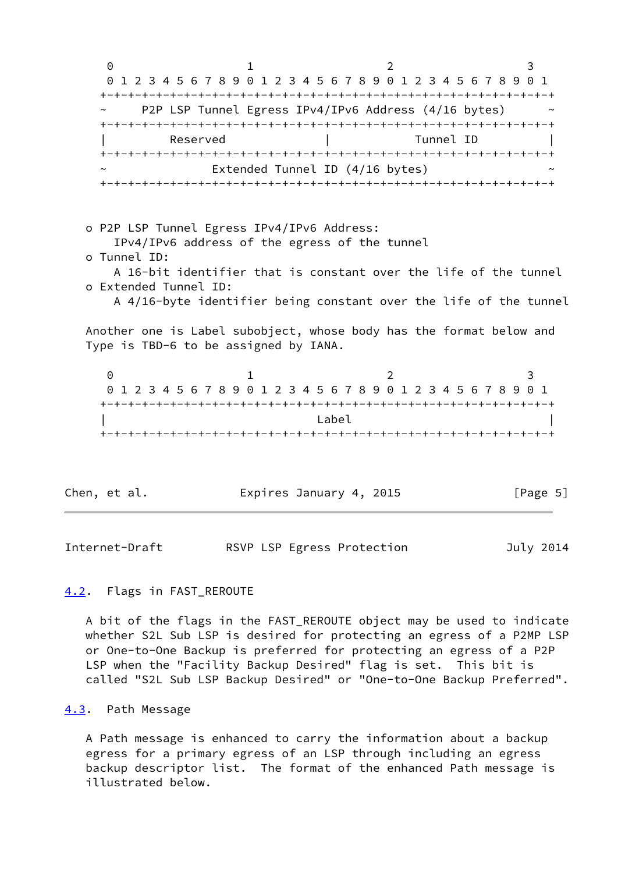0 1 2 3 0 1 2 3 4 5 6 7 8 9 0 1 2 3 4 5 6 7 8 9 0 1 2 3 4 5 6 7 8 9 0 1 +-+-+-+-+-+-+-+-+-+-+-+-+-+-+-+-+-+-+-+-+-+-+-+-+-+-+-+-+-+-+-+-+ P2P LSP Tunnel Egress IPv4/IPv6 Address (4/16 bytes) +-+-+-+-+-+-+-+-+-+-+-+-+-+-+-+-+-+-+-+-+-+-+-+-+-+-+-+-+-+-+-+-+ Reserved | Tunnel ID +-+-+-+-+-+-+-+-+-+-+-+-+-+-+-+-+-+-+-+-+-+-+-+-+-+-+-+-+-+-+-+-+ Extended Tunnel ID  $(4/16$  bytes) +-+-+-+-+-+-+-+-+-+-+-+-+-+-+-+-+-+-+-+-+-+-+-+-+-+-+-+-+-+-+-+-+ o P2P LSP Tunnel Egress IPv4/IPv6 Address: IPv4/IPv6 address of the egress of the tunnel o Tunnel ID: A 16-bit identifier that is constant over the life of the tunnel o Extended Tunnel ID: A 4/16-byte identifier being constant over the life of the tunnel Another one is Label subobject, whose body has the format below and Type is TBD-6 to be assigned by IANA. 0 1 2 3 0 1 2 3 4 5 6 7 8 9 0 1 2 3 4 5 6 7 8 9 0 1 2 3 4 5 6 7 8 9 0 1 +-+-+-+-+-+-+-+-+-+-+-+-+-+-+-+-+-+-+-+-+-+-+-+-+-+-+-+-+-+-+-+-+  $\Box$ +-+-+-+-+-+-+-+-+-+-+-+-+-+-+-+-+-+-+-+-+-+-+-+-+-+-+-+-+-+-+-+-+

Chen, et al. **Expires January 4, 2015** [Page 5]

<span id="page-5-1"></span>Internet-Draft RSVP LSP Egress Protection July 2014

## <span id="page-5-0"></span>[4.2](#page-5-0). Flags in FAST\_REROUTE

 A bit of the flags in the FAST\_REROUTE object may be used to indicate whether S2L Sub LSP is desired for protecting an egress of a P2MP LSP or One-to-One Backup is preferred for protecting an egress of a P2P LSP when the "Facility Backup Desired" flag is set. This bit is called "S2L Sub LSP Backup Desired" or "One-to-One Backup Preferred".

#### <span id="page-5-2"></span>[4.3](#page-5-2). Path Message

 A Path message is enhanced to carry the information about a backup egress for a primary egress of an LSP through including an egress backup descriptor list. The format of the enhanced Path message is illustrated below.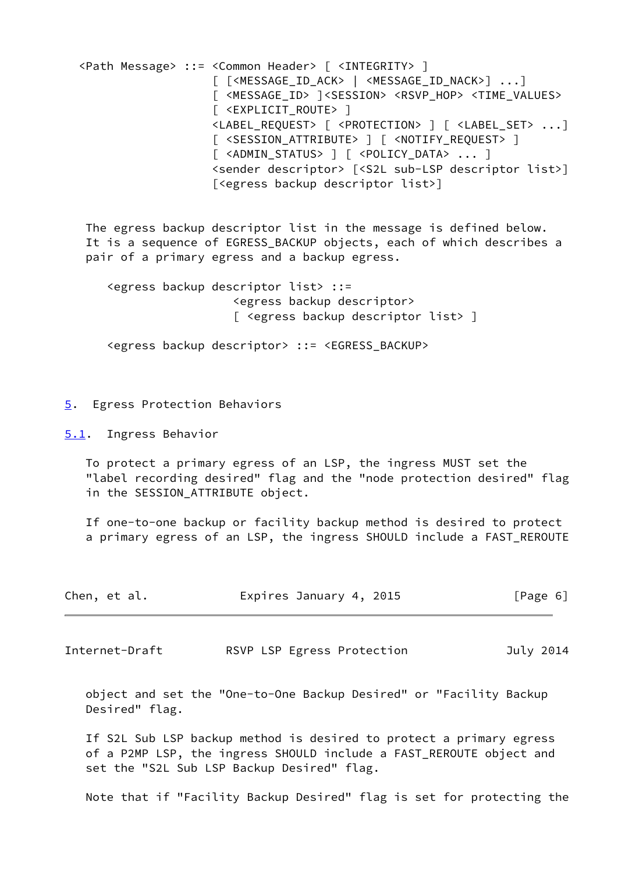<Path Message> ::= <Common Header> [ <INTEGRITY> ] [ [<MESSAGE\_ID\_ACK> | <MESSAGE\_ID\_NACK>] ...] [ <MESSAGE\_ID> ]<SESSION> <RSVP\_HOP> <TIME\_VALUES> [ <EXPLICIT\_ROUTE> ] <LABEL\_REQUEST> [ <PROTECTION> ] [ <LABEL\_SET> ...] [ <SESSION\_ATTRIBUTE> ] [ <NOTIFY\_REQUEST> ] [ <ADMIN STATUS> ] [ <POLICY DATA> ... ] <sender descriptor> [<S2L sub-LSP descriptor list>] [<egress backup descriptor list>] The egress backup descriptor list in the message is defined below. It is a sequence of EGRESS BACKUP objects, each of which describes a pair of a primary egress and a backup egress. <egress backup descriptor list> ::= <egress backup descriptor> [ <egress backup descriptor list> ] <egress backup descriptor> ::= <EGRESS\_BACKUP>

# <span id="page-6-0"></span>[5](#page-6-0). Egress Protection Behaviors

<span id="page-6-1"></span>[5.1](#page-6-1). Ingress Behavior

 To protect a primary egress of an LSP, the ingress MUST set the "label recording desired" flag and the "node protection desired" flag in the SESSION\_ATTRIBUTE object.

 If one-to-one backup or facility backup method is desired to protect a primary egress of an LSP, the ingress SHOULD include a FAST\_REROUTE

| Chen, et al. | Expires January 4, 2015 | [Page 6] |
|--------------|-------------------------|----------|
|              |                         |          |

<span id="page-6-2"></span>Internet-Draft RSVP LSP Egress Protection July 2014

 object and set the "One-to-One Backup Desired" or "Facility Backup Desired" flag.

 If S2L Sub LSP backup method is desired to protect a primary egress of a P2MP LSP, the ingress SHOULD include a FAST\_REROUTE object and set the "S2L Sub LSP Backup Desired" flag.

Note that if "Facility Backup Desired" flag is set for protecting the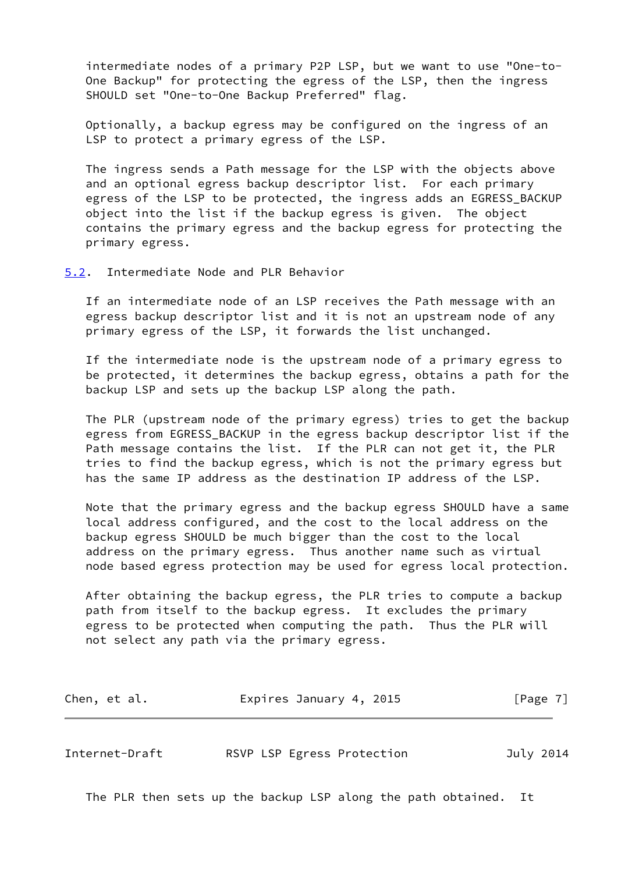intermediate nodes of a primary P2P LSP, but we want to use "One-to- One Backup" for protecting the egress of the LSP, then the ingress SHOULD set "One-to-One Backup Preferred" flag.

 Optionally, a backup egress may be configured on the ingress of an LSP to protect a primary egress of the LSP.

 The ingress sends a Path message for the LSP with the objects above and an optional egress backup descriptor list. For each primary egress of the LSP to be protected, the ingress adds an EGRESS\_BACKUP object into the list if the backup egress is given. The object contains the primary egress and the backup egress for protecting the primary egress.

<span id="page-7-0"></span>[5.2](#page-7-0). Intermediate Node and PLR Behavior

 If an intermediate node of an LSP receives the Path message with an egress backup descriptor list and it is not an upstream node of any primary egress of the LSP, it forwards the list unchanged.

 If the intermediate node is the upstream node of a primary egress to be protected, it determines the backup egress, obtains a path for the backup LSP and sets up the backup LSP along the path.

 The PLR (upstream node of the primary egress) tries to get the backup egress from EGRESS\_BACKUP in the egress backup descriptor list if the Path message contains the list. If the PLR can not get it, the PLR tries to find the backup egress, which is not the primary egress but has the same IP address as the destination IP address of the LSP.

 Note that the primary egress and the backup egress SHOULD have a same local address configured, and the cost to the local address on the backup egress SHOULD be much bigger than the cost to the local address on the primary egress. Thus another name such as virtual node based egress protection may be used for egress local protection.

 After obtaining the backup egress, the PLR tries to compute a backup path from itself to the backup egress. It excludes the primary egress to be protected when computing the path. Thus the PLR will not select any path via the primary egress.

| Expires January 4, 2015<br>Chen, et al. | [Page 7] |
|-----------------------------------------|----------|
|-----------------------------------------|----------|

<span id="page-7-1"></span>Internet-Draft RSVP LSP Egress Protection July 2014

The PLR then sets up the backup LSP along the path obtained. It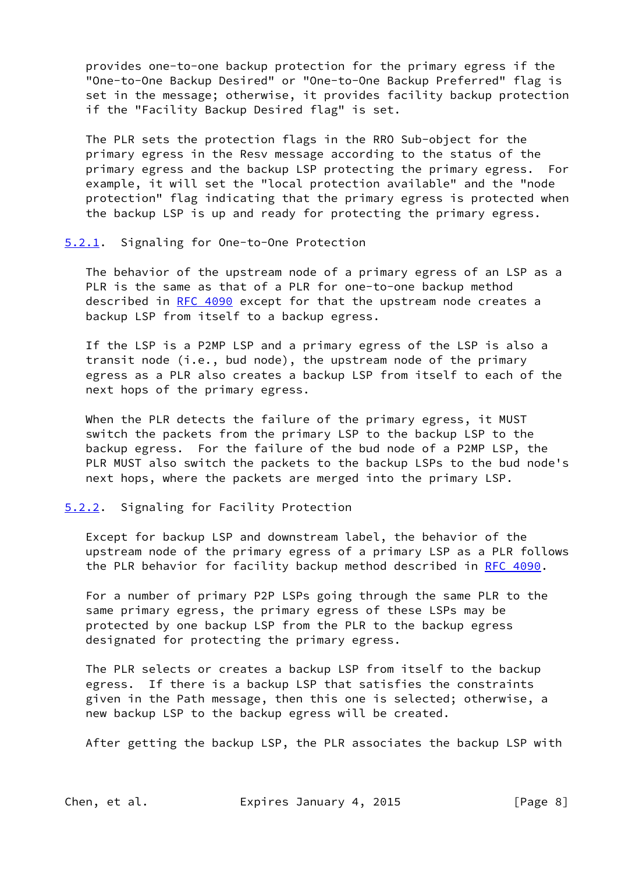provides one-to-one backup protection for the primary egress if the "One-to-One Backup Desired" or "One-to-One Backup Preferred" flag is set in the message; otherwise, it provides facility backup protection if the "Facility Backup Desired flag" is set.

 The PLR sets the protection flags in the RRO Sub-object for the primary egress in the Resv message according to the status of the primary egress and the backup LSP protecting the primary egress. For example, it will set the "local protection available" and the "node protection" flag indicating that the primary egress is protected when the backup LSP is up and ready for protecting the primary egress.

#### <span id="page-8-0"></span>[5.2.1](#page-8-0). Signaling for One-to-One Protection

 The behavior of the upstream node of a primary egress of an LSP as a PLR is the same as that of a PLR for one-to-one backup method described in [RFC 4090](https://datatracker.ietf.org/doc/pdf/rfc4090) except for that the upstream node creates a backup LSP from itself to a backup egress.

 If the LSP is a P2MP LSP and a primary egress of the LSP is also a transit node (i.e., bud node), the upstream node of the primary egress as a PLR also creates a backup LSP from itself to each of the next hops of the primary egress.

 When the PLR detects the failure of the primary egress, it MUST switch the packets from the primary LSP to the backup LSP to the backup egress. For the failure of the bud node of a P2MP LSP, the PLR MUST also switch the packets to the backup LSPs to the bud node's next hops, where the packets are merged into the primary LSP.

#### <span id="page-8-1"></span>[5.2.2](#page-8-1). Signaling for Facility Protection

 Except for backup LSP and downstream label, the behavior of the upstream node of the primary egress of a primary LSP as a PLR follows the PLR behavior for facility backup method described in [RFC 4090](https://datatracker.ietf.org/doc/pdf/rfc4090).

 For a number of primary P2P LSPs going through the same PLR to the same primary egress, the primary egress of these LSPs may be protected by one backup LSP from the PLR to the backup egress designated for protecting the primary egress.

 The PLR selects or creates a backup LSP from itself to the backup egress. If there is a backup LSP that satisfies the constraints given in the Path message, then this one is selected; otherwise, a new backup LSP to the backup egress will be created.

After getting the backup LSP, the PLR associates the backup LSP with

Chen, et al. **Expires January 4, 2015** [Page 8]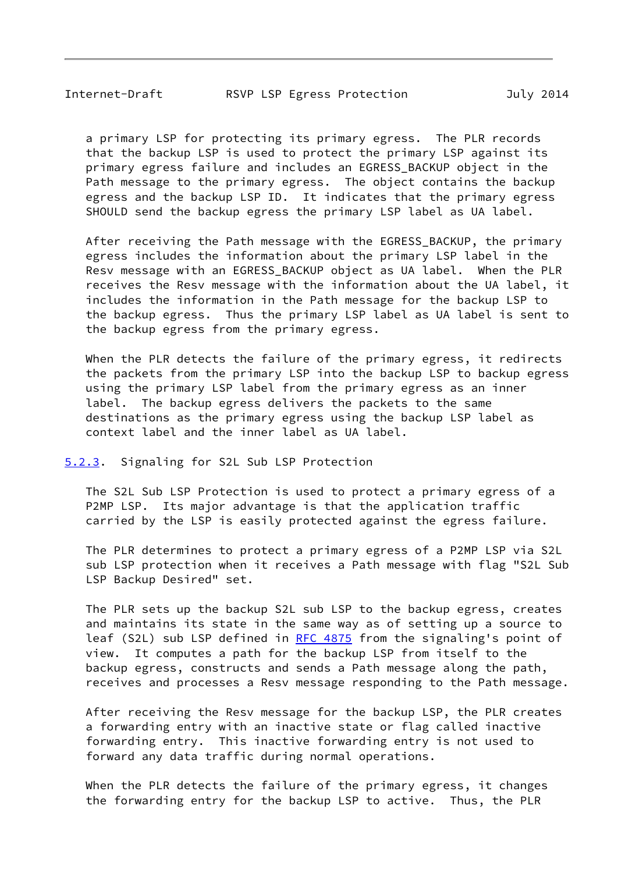<span id="page-9-1"></span> a primary LSP for protecting its primary egress. The PLR records that the backup LSP is used to protect the primary LSP against its primary egress failure and includes an EGRESS\_BACKUP object in the Path message to the primary egress. The object contains the backup egress and the backup LSP ID. It indicates that the primary egress SHOULD send the backup egress the primary LSP label as UA label.

After receiving the Path message with the EGRESS BACKUP, the primary egress includes the information about the primary LSP label in the Resv message with an EGRESS\_BACKUP object as UA label. When the PLR receives the Resv message with the information about the UA label, it includes the information in the Path message for the backup LSP to the backup egress. Thus the primary LSP label as UA label is sent to the backup egress from the primary egress.

When the PLR detects the failure of the primary egress, it redirects the packets from the primary LSP into the backup LSP to backup egress using the primary LSP label from the primary egress as an inner label. The backup egress delivers the packets to the same destinations as the primary egress using the backup LSP label as context label and the inner label as UA label.

#### <span id="page-9-0"></span>[5.2.3](#page-9-0). Signaling for S2L Sub LSP Protection

 The S2L Sub LSP Protection is used to protect a primary egress of a P2MP LSP. Its major advantage is that the application traffic carried by the LSP is easily protected against the egress failure.

 The PLR determines to protect a primary egress of a P2MP LSP via S2L sub LSP protection when it receives a Path message with flag "S2L Sub LSP Backup Desired" set.

 The PLR sets up the backup S2L sub LSP to the backup egress, creates and maintains its state in the same way as of setting up a source to leaf (S2L) sub LSP defined in [RFC 4875](https://datatracker.ietf.org/doc/pdf/rfc4875) from the signaling's point of view. It computes a path for the backup LSP from itself to the backup egress, constructs and sends a Path message along the path, receives and processes a Resv message responding to the Path message.

 After receiving the Resv message for the backup LSP, the PLR creates a forwarding entry with an inactive state or flag called inactive forwarding entry. This inactive forwarding entry is not used to forward any data traffic during normal operations.

 When the PLR detects the failure of the primary egress, it changes the forwarding entry for the backup LSP to active. Thus, the PLR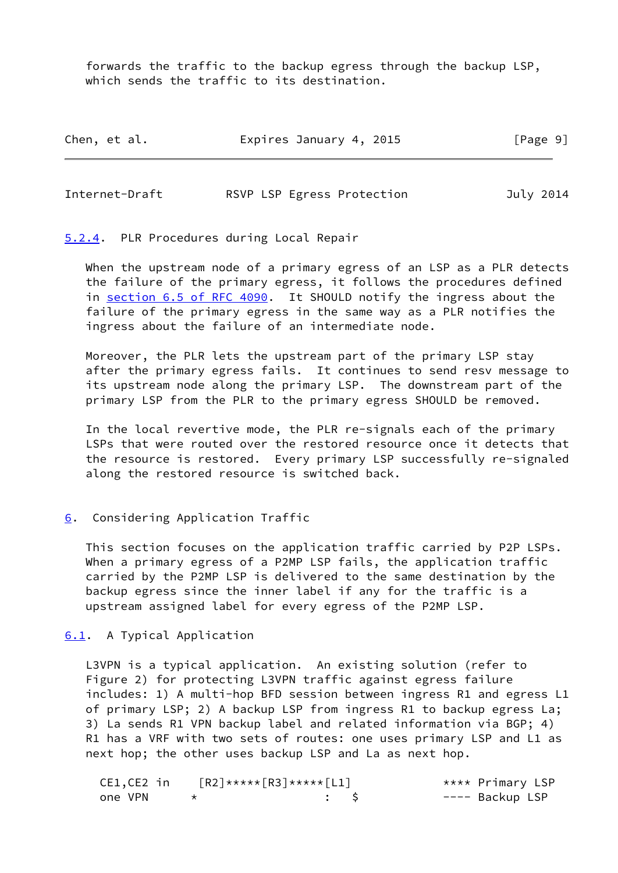forwards the traffic to the backup egress through the backup LSP, which sends the traffic to its destination.

| Chen, et al. | Expires January 4, 2015 |  | [Page 9] |
|--------------|-------------------------|--|----------|
|--------------|-------------------------|--|----------|

<span id="page-10-1"></span>

| Internet-Draft |  | RSVP LSP Egress Protection | July 2014 |
|----------------|--|----------------------------|-----------|
|                |  |                            |           |

#### <span id="page-10-0"></span>[5.2.4](#page-10-0). PLR Procedures during Local Repair

 When the upstream node of a primary egress of an LSP as a PLR detects the failure of the primary egress, it follows the procedures defined in section [6.5 of RFC 4090](https://datatracker.ietf.org/doc/pdf/rfc4090#section-6.5). It SHOULD notify the ingress about the failure of the primary egress in the same way as a PLR notifies the ingress about the failure of an intermediate node.

 Moreover, the PLR lets the upstream part of the primary LSP stay after the primary egress fails. It continues to send resv message to its upstream node along the primary LSP. The downstream part of the primary LSP from the PLR to the primary egress SHOULD be removed.

 In the local revertive mode, the PLR re-signals each of the primary LSPs that were routed over the restored resource once it detects that the resource is restored. Every primary LSP successfully re-signaled along the restored resource is switched back.

## <span id="page-10-2"></span>[6](#page-10-2). Considering Application Traffic

 This section focuses on the application traffic carried by P2P LSPs. When a primary egress of a P2MP LSP fails, the application traffic carried by the P2MP LSP is delivered to the same destination by the backup egress since the inner label if any for the traffic is a upstream assigned label for every egress of the P2MP LSP.

## <span id="page-10-3"></span>[6.1](#page-10-3). A Typical Application

 L3VPN is a typical application. An existing solution (refer to Figure 2) for protecting L3VPN traffic against egress failure includes: 1) A multi-hop BFD session between ingress R1 and egress L1 of primary LSP; 2) A backup LSP from ingress R1 to backup egress La; 3) La sends R1 VPN backup label and related information via BGP; 4) R1 has a VRF with two sets of routes: one uses primary LSP and L1 as next hop; the other uses backup LSP and La as next hop.

| CE1,CE2 in | $\lceil R2 \rceil$ ***** $\lceil R3 \rceil$ ***** $\lceil L1 \rceil$ |     |  | **** Primary LSP |
|------------|----------------------------------------------------------------------|-----|--|------------------|
| one VPN    |                                                                      | . S |  | ---- Backup LSP  |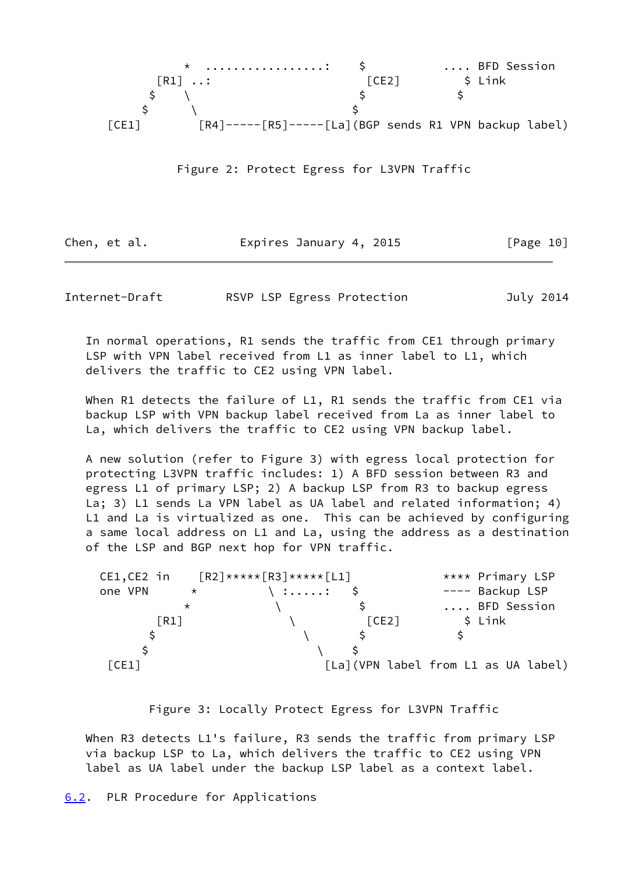

Figure 2: Protect Egress for L3VPN Traffic

Chen, et al. **Expires January 4, 2015** [Page 10]

<span id="page-11-1"></span>Internet-Draft RSVP LSP Egress Protection July 2014

 In normal operations, R1 sends the traffic from CE1 through primary LSP with VPN label received from L1 as inner label to L1, which delivers the traffic to CE2 using VPN label.

When R1 detects the failure of L1, R1 sends the traffic from CE1 via backup LSP with VPN backup label received from La as inner label to La, which delivers the traffic to CE2 using VPN backup label.

 A new solution (refer to Figure 3) with egress local protection for protecting L3VPN traffic includes: 1) A BFD session between R3 and egress L1 of primary LSP; 2) A backup LSP from R3 to backup egress La; 3) L1 sends La VPN label as UA label and related information; 4) L1 and La is virtualized as one. This can be achieved by configuring a same local address on L1 and La, using the address as a destination of the LSP and BGP next hop for VPN traffic.

| CE1,CE2 in         |          | $\lceil R2 \rceil$ ***** $\lceil R3 \rceil$ ***** $\lceil L1 \rceil$ |       | **** Primary LSP                     |
|--------------------|----------|----------------------------------------------------------------------|-------|--------------------------------------|
| one VPN            | $\star$  | $\langle$ :: \$                                                      |       | ---- Backup LSP                      |
|                    | $^\star$ |                                                                      |       | BFD Session                          |
| $\lceil R1 \rceil$ |          |                                                                      | [CE2] | $$$ Link                             |
|                    |          |                                                                      |       |                                      |
|                    |          |                                                                      |       |                                      |
| [CE1]              |          |                                                                      |       | [La] (VPN label from L1 as UA label) |

Figure 3: Locally Protect Egress for L3VPN Traffic

<span id="page-11-0"></span>When R3 detects L1's failure, R3 sends the traffic from primary LSP via backup LSP to La, which delivers the traffic to CE2 using VPN label as UA label under the backup LSP label as a context label.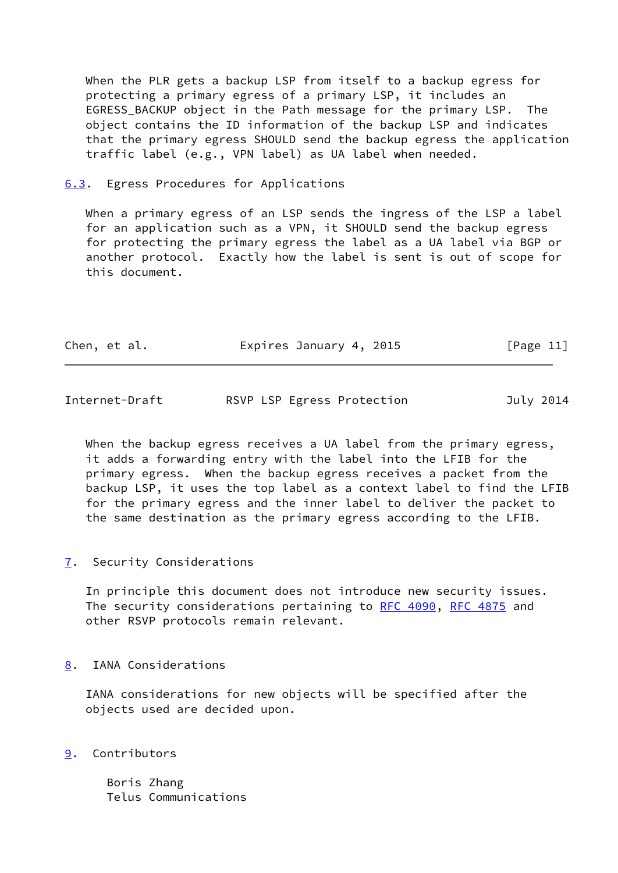When the PLR gets a backup LSP from itself to a backup egress for protecting a primary egress of a primary LSP, it includes an EGRESS BACKUP object in the Path message for the primary LSP. The object contains the ID information of the backup LSP and indicates that the primary egress SHOULD send the backup egress the application traffic label (e.g., VPN label) as UA label when needed.

<span id="page-12-0"></span>[6.3](#page-12-0). Egress Procedures for Applications

When a primary egress of an LSP sends the ingress of the LSP a label for an application such as a VPN, it SHOULD send the backup egress for protecting the primary egress the label as a UA label via BGP or another protocol. Exactly how the label is sent is out of scope for this document.

| Chen, et al. | Expires January 4, 2015 | [Page 11] |
|--------------|-------------------------|-----------|
|              |                         |           |

<span id="page-12-2"></span>

| Internet-Draft |  | RSVP LSP Egress Protection | July 2014 |
|----------------|--|----------------------------|-----------|
|                |  |                            |           |

 When the backup egress receives a UA label from the primary egress, it adds a forwarding entry with the label into the LFIB for the primary egress. When the backup egress receives a packet from the backup LSP, it uses the top label as a context label to find the LFIB for the primary egress and the inner label to deliver the packet to the same destination as the primary egress according to the LFIB.

<span id="page-12-1"></span>[7](#page-12-1). Security Considerations

 In principle this document does not introduce new security issues. The security considerations pertaining to [RFC 4090](https://datatracker.ietf.org/doc/pdf/rfc4090), [RFC 4875](https://datatracker.ietf.org/doc/pdf/rfc4875) and other RSVP protocols remain relevant.

<span id="page-12-3"></span>[8](#page-12-3). IANA Considerations

 IANA considerations for new objects will be specified after the objects used are decided upon.

<span id="page-12-4"></span>[9](#page-12-4). Contributors

 Boris Zhang Telus Communications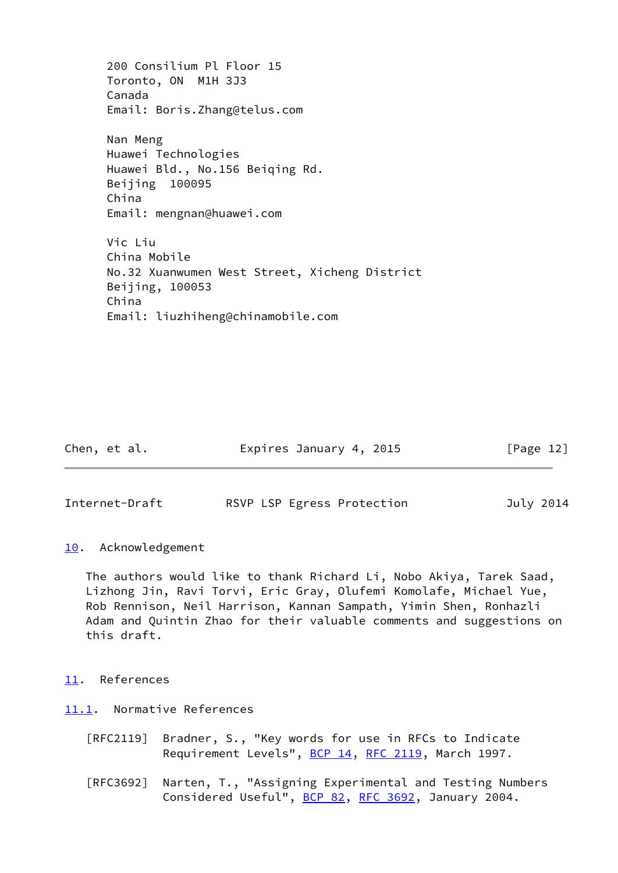200 Consilium Pl Floor 15 Toronto, ON M1H 3J3 Canada Email: Boris.Zhang@telus.com Nan Meng Huawei Technologies Huawei Bld., No.156 Beiqing Rd. Beijing 100095 China Email: mengnan@huawei.com Vic Liu China Mobile No.32 Xuanwumen West Street, Xicheng District Beijing, 100053 China Email: liuzhiheng@chinamobile.com

Chen, et al. **Expires January 4, 2015** [Page 12]

<span id="page-13-1"></span>Internet-Draft RSVP LSP Egress Protection July 2014

## <span id="page-13-0"></span>[10.](#page-13-0) Acknowledgement

 The authors would like to thank Richard Li, Nobo Akiya, Tarek Saad, Lizhong Jin, Ravi Torvi, Eric Gray, Olufemi Komolafe, Michael Yue, Rob Rennison, Neil Harrison, Kannan Sampath, Yimin Shen, Ronhazli Adam and Quintin Zhao for their valuable comments and suggestions on this draft.

# <span id="page-13-2"></span>[11.](#page-13-2) References

<span id="page-13-3"></span>[11.1](#page-13-3). Normative References

- [RFC2119] Bradner, S., "Key words for use in RFCs to Indicate Requirement Levels", [BCP 14](https://datatracker.ietf.org/doc/pdf/bcp14), [RFC 2119](https://datatracker.ietf.org/doc/pdf/rfc2119), March 1997.
- [RFC3692] Narten, T., "Assigning Experimental and Testing Numbers Considered Useful", [BCP 82](https://datatracker.ietf.org/doc/pdf/bcp82), [RFC 3692,](https://datatracker.ietf.org/doc/pdf/rfc3692) January 2004.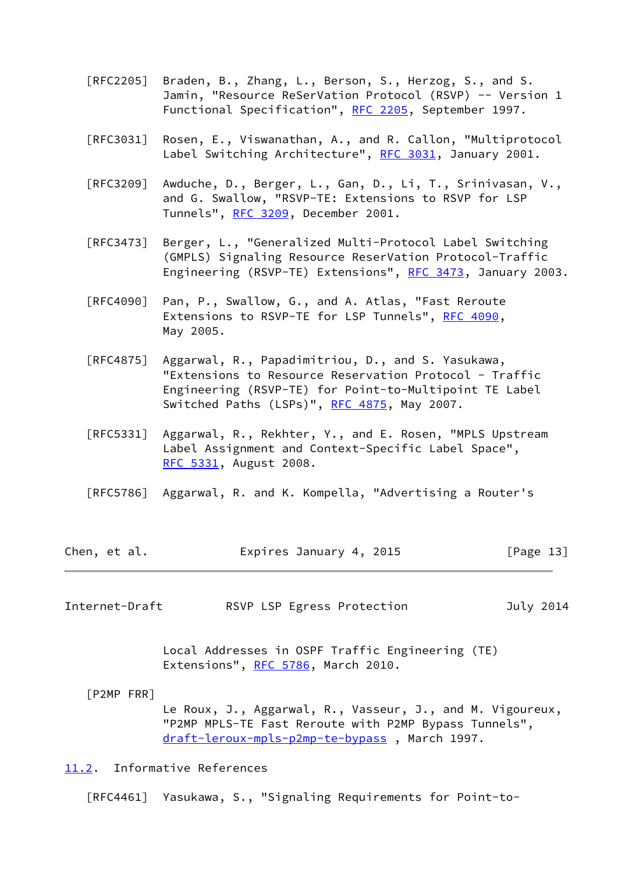- [RFC2205] Braden, B., Zhang, L., Berson, S., Herzog, S., and S. Jamin, "Resource ReSerVation Protocol (RSVP) -- Version 1 Functional Specification", [RFC 2205](https://datatracker.ietf.org/doc/pdf/rfc2205), September 1997.
- [RFC3031] Rosen, E., Viswanathan, A., and R. Callon, "Multiprotocol Label Switching Architecture", [RFC 3031](https://datatracker.ietf.org/doc/pdf/rfc3031), January 2001.
- [RFC3209] Awduche, D., Berger, L., Gan, D., Li, T., Srinivasan, V., and G. Swallow, "RSVP-TE: Extensions to RSVP for LSP Tunnels", [RFC 3209](https://datatracker.ietf.org/doc/pdf/rfc3209), December 2001.
- [RFC3473] Berger, L., "Generalized Multi-Protocol Label Switching (GMPLS) Signaling Resource ReserVation Protocol-Traffic Engineering (RSVP-TE) Extensions", [RFC 3473](https://datatracker.ietf.org/doc/pdf/rfc3473), January 2003.
- [RFC4090] Pan, P., Swallow, G., and A. Atlas, "Fast Reroute Extensions to RSVP-TE for LSP Tunnels", [RFC 4090,](https://datatracker.ietf.org/doc/pdf/rfc4090) May 2005.
- [RFC4875] Aggarwal, R., Papadimitriou, D., and S. Yasukawa, "Extensions to Resource Reservation Protocol - Traffic Engineering (RSVP-TE) for Point-to-Multipoint TE Label Switched Paths (LSPs)", [RFC 4875,](https://datatracker.ietf.org/doc/pdf/rfc4875) May 2007.
- [RFC5331] Aggarwal, R., Rekhter, Y., and E. Rosen, "MPLS Upstream Label Assignment and Context-Specific Label Space", [RFC 5331,](https://datatracker.ietf.org/doc/pdf/rfc5331) August 2008.
- [RFC5786] Aggarwal, R. and K. Kompella, "Advertising a Router's

| Chen, et al. | Expires January 4, 2015 | [Page 13] |
|--------------|-------------------------|-----------|
|--------------|-------------------------|-----------|

<span id="page-14-1"></span>Internet-Draft RSVP LSP Egress Protection July 2014

 Local Addresses in OSPF Traffic Engineering (TE) Extensions", [RFC 5786](https://datatracker.ietf.org/doc/pdf/rfc5786), March 2010.

[P2MP FRR]

 Le Roux, J., Aggarwal, R., Vasseur, J., and M. Vigoureux, "P2MP MPLS-TE Fast Reroute with P2MP Bypass Tunnels", [draft-leroux-mpls-p2mp-te-bypass](https://datatracker.ietf.org/doc/pdf/draft-leroux-mpls-p2mp-te-bypass) , March 1997.

## <span id="page-14-0"></span>[11.2](#page-14-0). Informative References

[RFC4461] Yasukawa, S., "Signaling Requirements for Point-to-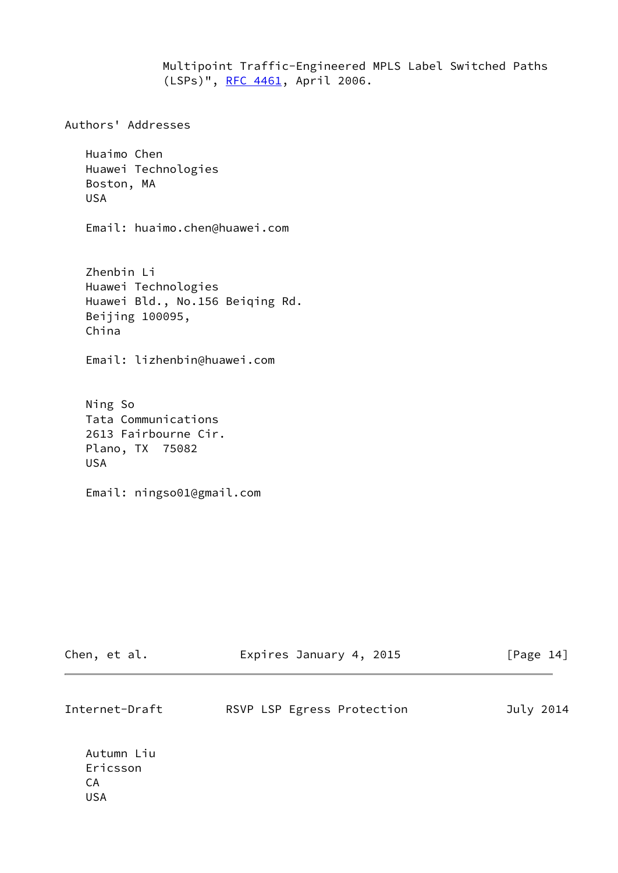Multipoint Traffic-Engineered MPLS Label Switched Paths (LSPs)", [RFC 4461,](https://datatracker.ietf.org/doc/pdf/rfc4461) April 2006.

Authors' Addresses

 Huaimo Chen Huawei Technologies Boston, MA USA

Email: huaimo.chen@huawei.com

 Zhenbin Li Huawei Technologies Huawei Bld., No.156 Beiqing Rd. Beijing 100095, China

Email: lizhenbin@huawei.com

 Ning So Tata Communications 2613 Fairbourne Cir. Plano, TX 75082 USA

Email: ningso01@gmail.com

| Chen, et al.                               | Expires January 4, 2015    | [Page $14$ ] |
|--------------------------------------------|----------------------------|--------------|
| Internet-Draft                             | RSVP LSP Egress Protection | July 2014    |
| Autumn Liu<br>Ericsson<br>CA<br><b>USA</b> |                            |              |